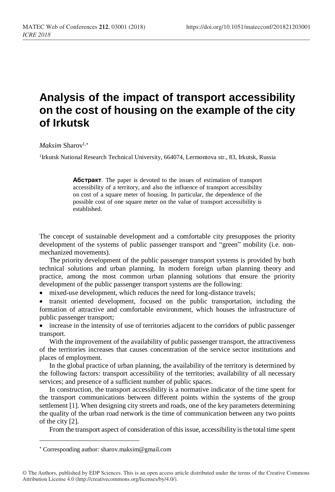## **Analysis of the impact of transport accessibility on the cost of housing on the example of the city of Irkutsk**

## *Maksim* Sharov<sup>1,\*</sup>

<sup>1</sup>Irkutsk National Research Technical University, 664074, Lermontova str., 83, Irkutsk, Russia

**Абстракт**. The paper is devoted to the issues of estimation of transport accessibility of a territory, and also the influence of transport accessibility on cost of a square meter of housing. In particular, the dependence of the possible cost of one square meter on the value of transport accessibility is established.

The concept of sustainable development and a comfortable city presupposes the priority development of the systems of public passenger transport and "green" mobility (i.e. nonmechanized movements).

The priority development of the public passenger transport systems is provided by both technical solutions and urban planning. In modern foreign urban planning theory and practice, among the most common urban planning solutions that ensure the priority development of the public passenger transport systems are the following:

• mixed-use development, which reduces the need for long-distance travels;

• transit oriented development, focused on the public transportation, including the formation of attractive and comfortable environment, which houses the infrastructure of public passenger transport;

• increase in the intensity of use of territories adjacent to the corridors of public passenger transport.

With the improvement of the availability of public passenger transport, the attractiveness of the territories increases that causes concentration of the service sector institutions and places of employment.

In the global practice of urban planning, the availability of the territory is determined by the following factors: transport accessibility of the territories; availability of all necessary services; and presence of a sufficient number of public spaces.

In construction, the transport accessibility is a normative indicator of the time spent for the transport communications between different points within the systems of the group settlement [1]. When designing city streets and roads, one of the key parameters determining the quality of the urban road network is the time of communication between any two points of the city [2].

From the transport aspect of consideration of this issue, accessibility is the total time spent

 $\overline{a}$ 

Corresponding author: sharov.maksim@gmail.com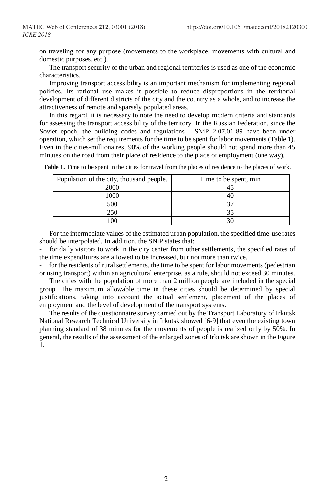on traveling for any purpose (movements to the workplace, movements with cultural and domestic purposes, etc.).

The transport security of the urban and regional territories is used as one of the economic characteristics.

Improving transport accessibility is an important mechanism for implementing regional policies. Its rational use makes it possible to reduce disproportions in the territorial development of different districts of the city and the country as a whole, and to increase the attractiveness of remote and sparsely populated areas.

In this regard, it is necessary to note the need to develop modern criteria and standards for assessing the transport accessibility of the territory. In the Russian Federation, since the Soviet epoch, the building codes and regulations - SNiP 2.07.01-89 have been under operation, which set the requirements for the time to be spent for labor movements (Table 1). Even in the cities-millionaires, 90% of the working people should not spend more than 45 minutes on the road from their place of residence to the place of employment (one way).

| Population of the city, thousand people. | Time to be spent, min |
|------------------------------------------|-----------------------|
| 2000                                     |                       |
| 1000                                     |                       |
| 500                                      |                       |
| 250                                      |                       |
|                                          |                       |

**Table 1.** Time to be spent in the cities for travel from the places of residence to the places of work.

For the intermediate values of the estimated urban population, the specified time-use rates should be interpolated. In addition, the SNiP states that:

for daily visitors to work in the city center from other settlements, the specified rates of the time expenditures are allowed to be increased, but not more than twice.

for the residents of rural settlements, the time to be spent for labor movements (pedestrian or using transport) within an agricultural enterprise, as a rule, should not exceed 30 minutes.

The cities with the population of more than 2 million people are included in the special group. The maximum allowable time in these cities should be determined by special justifications, taking into account the actual settlement, placement of the places of employment and the level of development of the transport systems.

The results of the questionnaire survey carried out by the Transport Laboratory of Irkutsk National Research Technical University in Irkutsk showed [6-9] that even the existing town planning standard of 38 minutes for the movements of people is realized only by 50%. In general, the results of the assessment of the enlarged zones of Irkutsk are shown in the Figure 1.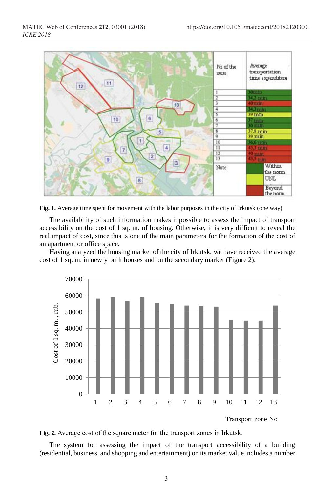

**Fig. 1.** Average time spent for movement with the labor purposes in the city of Irkutsk (one way).

The availability of such information makes it possible to assess the impact of transport accessibility on the cost of 1 sq. m. of housing. Otherwise, it is very difficult to reveal the real impact of cost, since this is one of the main parameters for the formation of the cost of an apartment or office space.

Having analyzed the housing market of the city of Irkutsk, we have received the average cost of 1 sq. m. in newly built houses and on the secondary market (Figure 2).





The system for assessing the impact of the transport accessibility of a building (residential, business, and shopping and entertainment) on its market value includes a number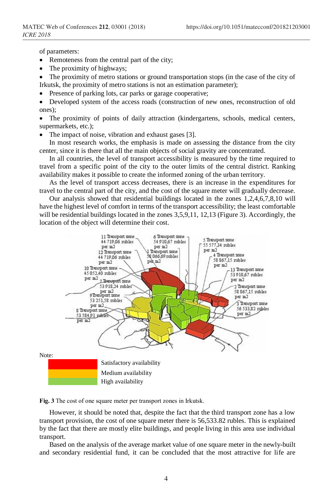of parameters:

- Remoteness from the central part of the city;
- The proximity of highways;

• The proximity of metro stations or ground transportation stops (in the case of the city of Irkutsk, the proximity of metro stations is not an estimation parameter);

Presence of parking lots, car parks or garage cooperative;

• Developed system of the access roads (construction of new ones, reconstruction of old ones);

• The proximity of points of daily attraction (kindergartens, schools, medical centers, supermarkets, etc.);

The impact of noise, vibration and exhaust gases [3].

In most research works, the emphasis is made on assessing the distance from the city center, since it is there that all the main objects of social gravity are concentrated.

In all countries, the level of transport accessibility is measured by the time required to travel from a specific point of the city to the outer limits of the central district. Ranking availability makes it possible to create the informed zoning of the urban territory.

As the level of transport access decreases, there is an increase in the expenditures for travel to the central part of the city, and the cost of the square meter will gradually decrease.

Our analysis showed that residential buildings located in the zones 1,2,4,6,7,8,10 will have the highest level of comfort in terms of the transport accessibility; the least comfortable will be residential buildings located in the zones 3,5,9,11, 12,13 (Figure 3). Accordingly, the location of the object will determine their cost.



**Fig. 3** The cost of one square meter per transport zones in Irkutsk.

However, it should be noted that, despite the fact that the third transport zone has a low transport provision, the cost of one square meter there is 56,533.82 rubles. This is explained by the fact that there are mostly elite buildings, and people living in this area use individual transport.

Based on the analysis of the average market value of one square meter in the newly-built and secondary residential fund, it can be concluded that the most attractive for life are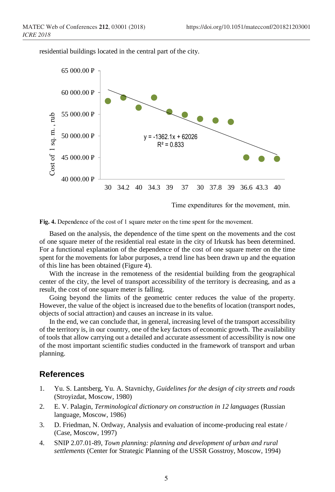residential buildings located in the central part of the city.



Time expenditures for the movement, min.



Based on the analysis, the dependence of the time spent on the movements and the cost of one square meter of the residential real estate in the city of Irkutsk has been determined. For a functional explanation of the dependence of the cost of one square meter on the time spent for the movements for labor purposes, a trend line has been drawn up and the equation of this line has been obtained (Figure 4).

With the increase in the remoteness of the residential building from the geographical center of the city, the level of transport accessibility of the territory is decreasing, and as a result, the cost of one square meter is falling.

Going beyond the limits of the geometric center reduces the value of the property. However, the value of the object is increased due to the benefits of location (transport nodes, objects of social attraction) and causes an increase in its value.

In the end, we can conclude that, in general, increasing level of the transport accessibility of the territory is, in our country, one of the key factors of economic growth. The availability of tools that allow carrying out a detailed and accurate assessment of accessibility is now one of the most important scientific studies conducted in the framework of transport and urban planning.

## **References**

- 1. Yu. S. Lantsberg, Yu. A. Stavnichy, *Guidelines for the design of city streets and roads* (Stroyizdat, Moscow, 1980)
- 2. E. V. Palagin, *Terminological dictionary on construction in 12 languages* (Russian language, Moscow, 1986)
- 3. D. Friedman, N. Ordway, Analysis and evaluation of income-producing real estate / (Case, Moscow, 1997)
- 4. SNIP 2.07.01-89, *Town planning: planning and development of urban and rural settlements* (Center for Strategic Planning of the USSR Gosstroy, Moscow, 1994)